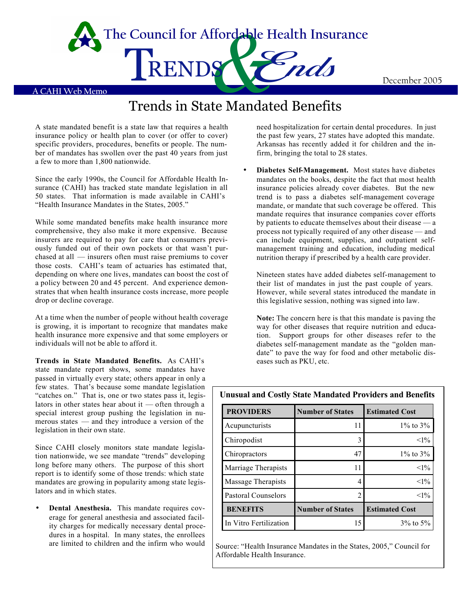

**A CAHI Web Memo** TRENDS<br>Trends in State Mandated Benefits **The Council for Affordable Health Insurance**

A state mandated benefit is a state law that requires a health insurance policy or health plan to cover (or offer to cover) specific providers, procedures, benefits or people. The number of mandates has swollen over the past 40 years from just a few to more than 1,800 nationwide.

Since the early 1990s, the Council for Affordable Health Insurance (CAHI) has tracked state mandate legislation in all 50 states. That information is made available in CAHI's "Health Insurance Mandates in the States, 2005."

While some mandated benefits make health insurance more comprehensive, they also make it more expensive. Because insurers are required to pay for care that consumers previously funded out of their own pockets or that wasn't purchased at all — insurers often must raise premiums to cover those costs. CAHI's team of actuaries has estimated that, depending on where one lives, mandates can boost the cost of a policy between 20 and 45 percent. And experience demonstrates that when health insurance costs increase, more people drop or decline coverage.

At a time when the number of people without health coverage is growing, it is important to recognize that mandates make health insurance more expensive and that some employers or individuals will not be able to afford it.

**Trends in State Mandated Benefits.** As CAHI's state mandate report shows, some mandates have passed in virtually every state; others appear in only a few states. That's because some mandate legislation "catches on." That is, one or two states pass it, legislators in other states hear about it — often through a special interest group pushing the legislation in numerous states — and they introduce a version of the legislation in their own state.

Since CAHI closely monitors state mandate legislation nationwide, we see mandate "trends" developing long before many others. The purpose of this short report is to identify some of those trends: which state mandates are growing in popularity among state legislators and in which states.

• **Dental Anesthesia.** This mandate requires coverage for general anesthesia and associated facility charges for medically necessary dental procedures in a hospital. In many states, the enrollees are limited to children and the infirm who would

need hospitalization for certain dental procedures. In just the past few years, 27 states have adopted this mandate. Arkansas has recently added it for children and the infirm, bringing the total to 28 states.

• **Diabetes Self-Management.** Most states have diabetes mandates on the books, despite the fact that most health insurance policies already cover diabetes. But the new trend is to pass a diabetes self-management coverage mandate, or mandate that such coverage be offered. This mandate requires that insurance companies cover efforts by patients to educate themselves about their disease — a process not typically required of any other disease — and can include equipment, supplies, and outpatient selfmanagement training and education, including medical nutrition therapy if prescribed by a health care provider.

Nineteen states have added diabetes self-management to their list of mandates in just the past couple of years. However, while several states introduced the mandate in this legislative session, nothing was signed into law.

**Note:** The concern here is that this mandate is paving the way for other diseases that require nutrition and education. Support groups for other diseases refer to the diabetes self-management mandate as the "golden mandate" to pave the way for food and other metabolic diseases such as PKU, etc.

| <b>PROVIDERS</b>       | <b>Number of States</b> | <b>Estimated Cost</b> |
|------------------------|-------------------------|-----------------------|
| Acupuncturists         | 11                      | $1\%$ to $3\%$        |
| Chiropodist            | 3                       | $<1\%$                |
| Chiropractors          | 47                      | $1\%$ to $3\%$        |
| Marriage Therapists    | 11                      | $<1\%$                |
| Massage Therapists     | 4                       | $<1\%$                |
| Pastoral Counselors    | 2                       | $<1\%$                |
| <b>BENEFITS</b>        | <b>Number of States</b> | <b>Estimated Cost</b> |
| In Vitro Fertilization | 15                      | $3\%$ to $5\%$        |

**Unusual and Costly State Mandated Providers and Benefits**

Source: "Health Insurance Mandates in the States, 2005," Council for Affordable Health Insurance.